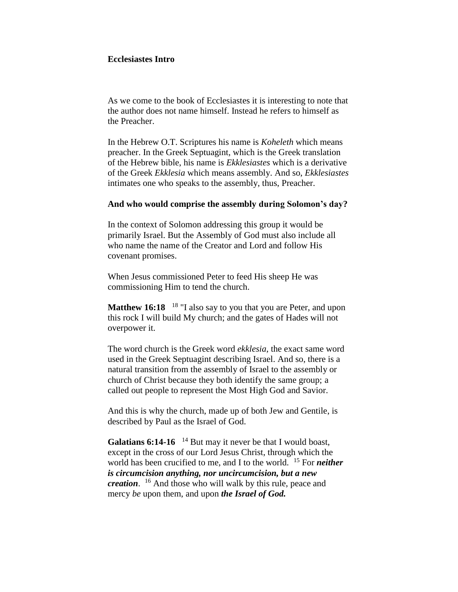#### **Ecclesiastes Intro**

As we come to the book of Ecclesiastes it is interesting to note that the author does not name himself. Instead he refers to himself as the Preacher.

In the Hebrew O.T. Scriptures his name is *Koheleth* which means preacher. In the Greek Septuagint, which is the Greek translation of the Hebrew bible, his name is *Ekklesiastes* which is a derivative of the Greek *Ekklesia* which means assembly. And so, *Ekklesiastes* intimates one who speaks to the assembly, thus, Preacher.

#### **And who would comprise the assembly during Solomon's day?**

In the context of Solomon addressing this group it would be primarily Israel. But the Assembly of God must also include all who name the name of the Creator and Lord and follow His covenant promises.

When Jesus commissioned Peter to feed His sheep He was commissioning Him to tend the church.

**Matthew 16:18** <sup>18</sup> "I also say to you that you are Peter, and upon this rock I will build My church; and the gates of Hades will not overpower it.

The word church is the Greek word *ekklesia*, the exact same word used in the Greek Septuagint describing Israel. And so, there is a natural transition from the assembly of Israel to the assembly or church of Christ because they both identify the same group; a called out people to represent the Most High God and Savior.

And this is why the church, made up of both Jew and Gentile, is described by Paul as the Israel of God.

Galatians 6:14-16 <sup>14</sup> But may it never be that I would boast, except in the cross of our Lord Jesus Christ, through which the world has been crucified to me, and I to the world. <sup>15</sup> For *neither is circumcision anything, nor uncircumcision, but a new creation*. <sup>16</sup> And those who will walk by this rule, peace and mercy *be* upon them, and upon *the Israel of God.*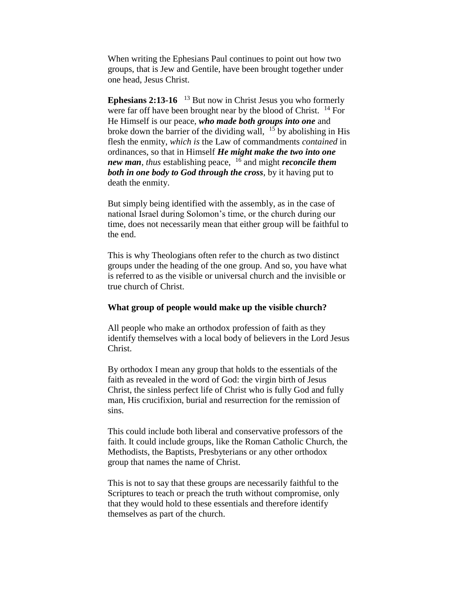When writing the Ephesians Paul continues to point out how two groups, that is Jew and Gentile, have been brought together under one head, Jesus Christ.

**Ephesians 2:13-16** <sup>13</sup> But now in Christ Jesus you who formerly were far off have been brought near by the blood of Christ. <sup>14</sup> For He Himself is our peace, *who made both groups into one* and broke down the barrier of the dividing wall,  $15$  by abolishing in His flesh the enmity, *which is* the Law of commandments *contained* in ordinances, so that in Himself *He might make the two into one new man, thus establishing peace,* <sup>16</sup> and might *reconcile them both in one body to God through the cross*, by it having put to death the enmity.

But simply being identified with the assembly, as in the case of national Israel during Solomon's time, or the church during our time, does not necessarily mean that either group will be faithful to the end.

This is why Theologians often refer to the church as two distinct groups under the heading of the one group. And so, you have what is referred to as the visible or universal church and the invisible or true church of Christ.

#### **What group of people would make up the visible church?**

All people who make an orthodox profession of faith as they identify themselves with a local body of believers in the Lord Jesus Christ.

By orthodox I mean any group that holds to the essentials of the faith as revealed in the word of God: the virgin birth of Jesus Christ, the sinless perfect life of Christ who is fully God and fully man, His crucifixion, burial and resurrection for the remission of sins.

This could include both liberal and conservative professors of the faith. It could include groups, like the Roman Catholic Church, the Methodists, the Baptists, Presbyterians or any other orthodox group that names the name of Christ.

This is not to say that these groups are necessarily faithful to the Scriptures to teach or preach the truth without compromise, only that they would hold to these essentials and therefore identify themselves as part of the church.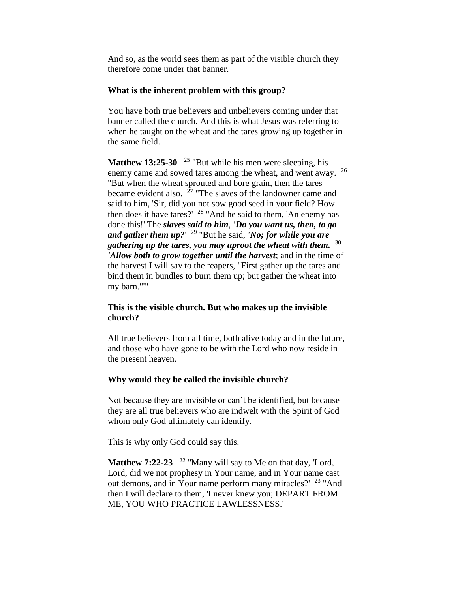And so, as the world sees them as part of the visible church they therefore come under that banner.

## **What is the inherent problem with this group?**

You have both true believers and unbelievers coming under that banner called the church. And this is what Jesus was referring to when he taught on the wheat and the tares growing up together in the same field.

**Matthew 13:25-30** <sup>25</sup> "But while his men were sleeping, his enemy came and sowed tares among the wheat, and went away. <sup>26</sup> "But when the wheat sprouted and bore grain, then the tares became evident also.  $27$  "The slaves of the landowner came and said to him, 'Sir, did you not sow good seed in your field? How then does it have tares?'  $28$  "And he said to them, 'An enemy has done this!' The *slaves said to him*, *'Do you want us, then, to go and gather them up?*' <sup>29</sup> "But he said, *'No; for while you are gathering up the tares, you may uproot the wheat with them.* 30 *'Allow both to grow together until the harvest*; and in the time of the harvest I will say to the reapers, "First gather up the tares and bind them in bundles to burn them up; but gather the wheat into my barn."'"

## **This is the visible church. But who makes up the invisible church?**

All true believers from all time, both alive today and in the future, and those who have gone to be with the Lord who now reside in the present heaven.

## **Why would they be called the invisible church?**

Not because they are invisible or can't be identified, but because they are all true believers who are indwelt with the Spirit of God whom only God ultimately can identify.

This is why only God could say this.

**Matthew 7:22-23** <sup>22</sup> "Many will say to Me on that day, 'Lord, Lord, did we not prophesy in Your name, and in Your name cast out demons, and in Your name perform many miracles?' <sup>23</sup> "And then I will declare to them, 'I never knew you; DEPART FROM ME, YOU WHO PRACTICE LAWLESSNESS.'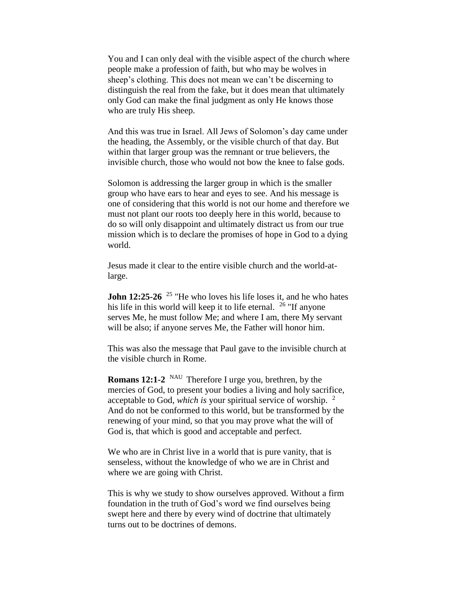You and I can only deal with the visible aspect of the church where people make a profession of faith, but who may be wolves in sheep's clothing. This does not mean we can't be discerning to distinguish the real from the fake, but it does mean that ultimately only God can make the final judgment as only He knows those who are truly His sheep.

And this was true in Israel. All Jews of Solomon's day came under the heading, the Assembly, or the visible church of that day. But within that larger group was the remnant or true believers, the invisible church, those who would not bow the knee to false gods.

Solomon is addressing the larger group in which is the smaller group who have ears to hear and eyes to see. And his message is one of considering that this world is not our home and therefore we must not plant our roots too deeply here in this world, because to do so will only disappoint and ultimately distract us from our true mission which is to declare the promises of hope in God to a dying world.

Jesus made it clear to the entire visible church and the world-atlarge.

**John 12:25-26** <sup>25</sup> "He who loves his life loses it, and he who hates his life in this world will keep it to life eternal.  $^{26}$  "If anyone" serves Me, he must follow Me; and where I am, there My servant will be also; if anyone serves Me, the Father will honor him.

This was also the message that Paul gave to the invisible church at the visible church in Rome.

**Romans 12:1-2** <sup>NAU</sup> Therefore I urge you, brethren, by the mercies of God, to present your bodies a living and holy sacrifice, acceptable to God, *which is* your spiritual service of worship. <sup>2</sup> And do not be conformed to this world, but be transformed by the renewing of your mind, so that you may prove what the will of God is, that which is good and acceptable and perfect.

We who are in Christ live in a world that is pure vanity, that is senseless, without the knowledge of who we are in Christ and where we are going with Christ.

This is why we study to show ourselves approved. Without a firm foundation in the truth of God's word we find ourselves being swept here and there by every wind of doctrine that ultimately turns out to be doctrines of demons.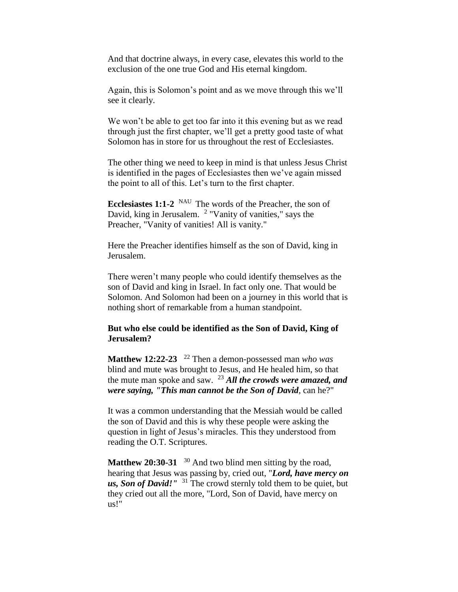And that doctrine always, in every case, elevates this world to the exclusion of the one true God and His eternal kingdom.

Again, this is Solomon's point and as we move through this we'll see it clearly.

We won't be able to get too far into it this evening but as we read through just the first chapter, we'll get a pretty good taste of what Solomon has in store for us throughout the rest of Ecclesiastes.

The other thing we need to keep in mind is that unless Jesus Christ is identified in the pages of Ecclesiastes then we've again missed the point to all of this. Let's turn to the first chapter.

**Ecclesiastes 1:1-2** <sup>NAU</sup> The words of the Preacher, the son of David, king in Jerusalem. <sup>2</sup> "Vanity of vanities," says the Preacher, "Vanity of vanities! All is vanity."

Here the Preacher identifies himself as the son of David, king in Jerusalem.

There weren't many people who could identify themselves as the son of David and king in Israel. In fact only one. That would be Solomon. And Solomon had been on a journey in this world that is nothing short of remarkable from a human standpoint.

#### **But who else could be identified as the Son of David, King of Jerusalem?**

**Matthew 12:22-23**  <sup>22</sup> Then a demon-possessed man *who was*  blind and mute was brought to Jesus, and He healed him, so that the mute man spoke and saw. <sup>23</sup> *All the crowds were amazed, and were saying, "This man cannot be the Son of David*, can he?"

It was a common understanding that the Messiah would be called the son of David and this is why these people were asking the question in light of Jesus's miracles. This they understood from reading the O.T. Scriptures.

Matthew 20:30-31 <sup>30</sup> And two blind men sitting by the road, hearing that Jesus was passing by, cried out, "*Lord, have mercy on us, Son of David!"* <sup>31</sup> The crowd sternly told them to be quiet, but they cried out all the more, "Lord, Son of David, have mercy on us!"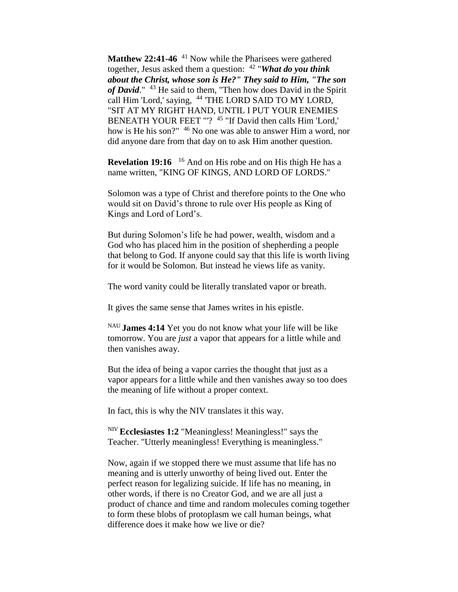**Matthew 22:41-46** <sup>41</sup> Now while the Pharisees were gathered together, Jesus asked them a question: <sup>42</sup> "*What do you think about the Christ, whose son is He?" They said to Him, "The son*  of David." <sup>43</sup> He said to them, "Then how does David in the Spirit call Him 'Lord,' saying, <sup>44</sup> 'THE LORD SAID TO MY LORD, "SIT AT MY RIGHT HAND, UNTIL I PUT YOUR ENEMIES BENEATH YOUR FEET "'?<sup>45</sup> "If David then calls Him 'Lord,' how is He his son?" <sup>46</sup> No one was able to answer Him a word, nor did anyone dare from that day on to ask Him another question.

**Revelation 19:16** <sup>16</sup> And on His robe and on His thigh He has a name written, "KING OF KINGS, AND LORD OF LORDS."

Solomon was a type of Christ and therefore points to the One who would sit on David's throne to rule over His people as King of Kings and Lord of Lord's.

But during Solomon's life he had power, wealth, wisdom and a God who has placed him in the position of shepherding a people that belong to God. If anyone could say that this life is worth living for it would be Solomon. But instead he views life as vanity.

The word vanity could be literally translated vapor or breath.

It gives the same sense that James writes in his epistle.

NAU **James 4:14** Yet you do not know what your life will be like tomorrow. You are *just* a vapor that appears for a little while and then vanishes away.

But the idea of being a vapor carries the thought that just as a vapor appears for a little while and then vanishes away so too does the meaning of life without a proper context.

In fact, this is why the NIV translates it this way.

NIV **Ecclesiastes 1:2** "Meaningless! Meaningless!" says the Teacher. "Utterly meaningless! Everything is meaningless."

Now, again if we stopped there we must assume that life has no meaning and is utterly unworthy of being lived out. Enter the perfect reason for legalizing suicide. If life has no meaning, in other words, if there is no Creator God, and we are all just a product of chance and time and random molecules coming together to form these blobs of protoplasm we call human beings, what difference does it make how we live or die?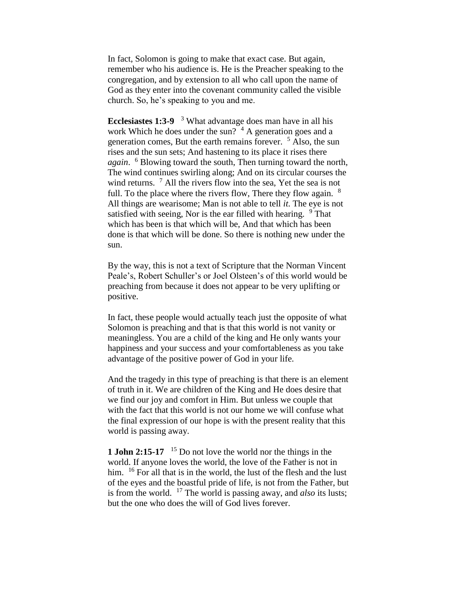In fact, Solomon is going to make that exact case. But again, remember who his audience is. He is the Preacher speaking to the congregation, and by extension to all who call upon the name of God as they enter into the covenant community called the visible church. So, he's speaking to you and me.

**Ecclesiastes 1:3-9**  <sup>3</sup> What advantage does man have in all his work Which he does under the sun?  $4A$  generation goes and a generation comes, But the earth remains forever. <sup>5</sup> Also, the sun rises and the sun sets; And hastening to its place it rises there *again*. <sup>6</sup> Blowing toward the south, Then turning toward the north, The wind continues swirling along; And on its circular courses the wind returns.  $\frac{7}{7}$  All the rivers flow into the sea, Yet the sea is not full. To the place where the rivers flow, There they flow again. <sup>8</sup> All things are wearisome; Man is not able to tell *it*. The eye is not satisfied with seeing, Nor is the ear filled with hearing.  $9$  That which has been is that which will be, And that which has been done is that which will be done. So there is nothing new under the sun.

By the way, this is not a text of Scripture that the Norman Vincent Peale's, Robert Schuller's or Joel Olsteen's of this world would be preaching from because it does not appear to be very uplifting or positive.

In fact, these people would actually teach just the opposite of what Solomon is preaching and that is that this world is not vanity or meaningless. You are a child of the king and He only wants your happiness and your success and your comfortableness as you take advantage of the positive power of God in your life.

And the tragedy in this type of preaching is that there is an element of truth in it. We are children of the King and He does desire that we find our joy and comfort in Him. But unless we couple that with the fact that this world is not our home we will confuse what the final expression of our hope is with the present reality that this world is passing away.

**1 John 2:15-17** <sup>15</sup> Do not love the world nor the things in the world. If anyone loves the world, the love of the Father is not in him. <sup>16</sup> For all that is in the world, the lust of the flesh and the lust of the eyes and the boastful pride of life, is not from the Father, but is from the world. <sup>17</sup> The world is passing away, and *also* its lusts; but the one who does the will of God lives forever.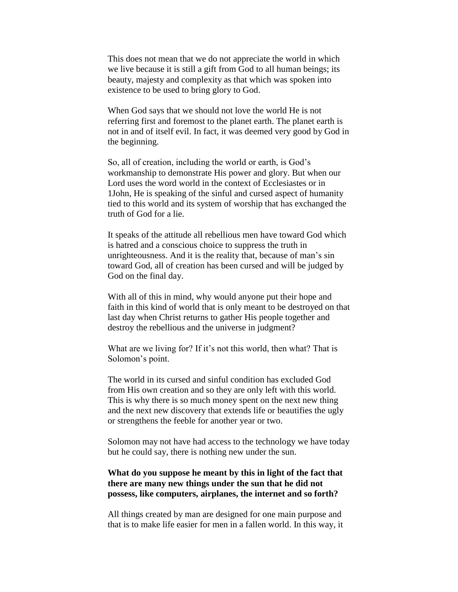This does not mean that we do not appreciate the world in which we live because it is still a gift from God to all human beings; its beauty, majesty and complexity as that which was spoken into existence to be used to bring glory to God.

When God says that we should not love the world He is not referring first and foremost to the planet earth. The planet earth is not in and of itself evil. In fact, it was deemed very good by God in the beginning.

So, all of creation, including the world or earth, is God's workmanship to demonstrate His power and glory. But when our Lord uses the word world in the context of Ecclesiastes or in 1John, He is speaking of the sinful and cursed aspect of humanity tied to this world and its system of worship that has exchanged the truth of God for a lie.

It speaks of the attitude all rebellious men have toward God which is hatred and a conscious choice to suppress the truth in unrighteousness. And it is the reality that, because of man's sin toward God, all of creation has been cursed and will be judged by God on the final day.

With all of this in mind, why would anyone put their hope and faith in this kind of world that is only meant to be destroyed on that last day when Christ returns to gather His people together and destroy the rebellious and the universe in judgment?

What are we living for? If it's not this world, then what? That is Solomon's point.

The world in its cursed and sinful condition has excluded God from His own creation and so they are only left with this world. This is why there is so much money spent on the next new thing and the next new discovery that extends life or beautifies the ugly or strengthens the feeble for another year or two.

Solomon may not have had access to the technology we have today but he could say, there is nothing new under the sun.

## **What do you suppose he meant by this in light of the fact that there are many new things under the sun that he did not possess, like computers, airplanes, the internet and so forth?**

All things created by man are designed for one main purpose and that is to make life easier for men in a fallen world. In this way, it